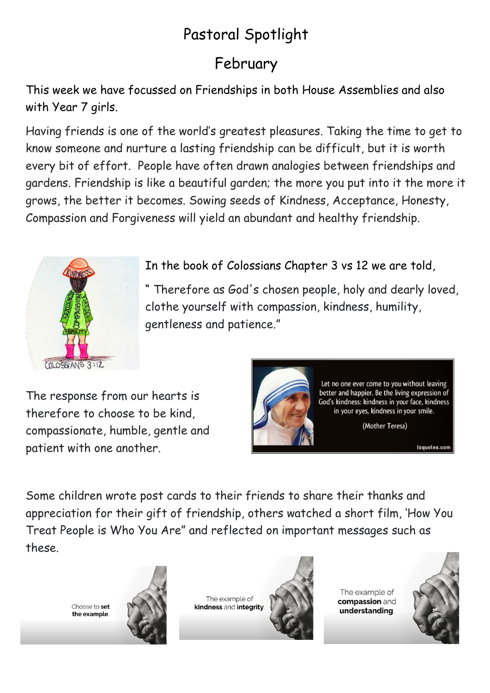## Pastoral Spotlight

## February

This week we have focussed on Friendships in both House Assemblies and also with Year 7 girls.

Having friends is one of the world's greatest pleasures. Taking the time to get to know someone and nurture a lasting friendship can be difficult, but it is worth every bit of effort. People have often drawn analogies between friendships and gardens. Friendship is like a beautiful garden; the more you put into it the more it grows, the better it becomes. Sowing seeds of Kindness, Acceptance, Honesty, Compassion and Forgiveness will yield an abundant and healthy friendship.



In the book of Colossians Chapter 3 vs 12 we are told,

" Therefore as God's chosen people, holy and dearly loved, clothe yourself with compassion, kindness, humility, gentleness and patience."

The response from our hearts is therefore to choose to be kind, compassionate, humble, gentle and patient with one another.



izquotes.com

Some children wrote post cards to their friends to share their thanks and appreciation for their gift of friendship, others watched a short film, 'How You Treat People is Who You Are" and reflected on important messages such as these.

Choose to set the example



The example of kindness and integrity.



The example of compassion and understanding

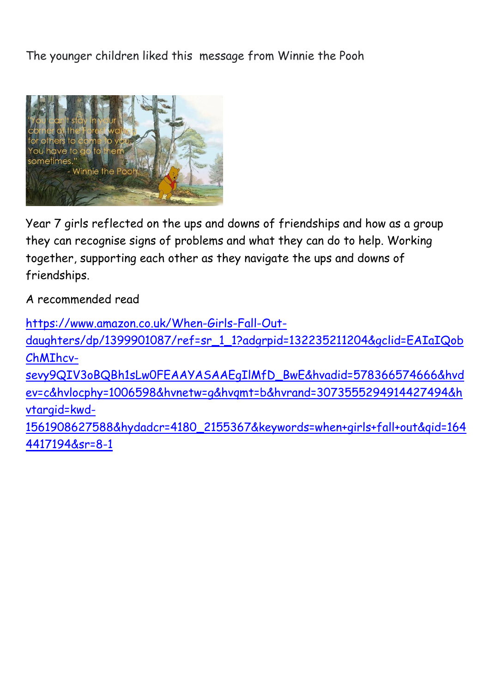The younger children liked this message from Winnie the Pooh



Year 7 girls reflected on the ups and downs of friendships and how as a group they can recognise signs of problems and what they can do to help. Working together, supporting each other as they navigate the ups and downs of friendships.

A recommended read

[https://www.amazon.co.uk/When-Girls-Fall-Out](https://www.amazon.co.uk/When-Girls-Fall-Out-daughters/dp/1399901087/ref=sr_1_1?adgrpid=132235211204&gclid=EAIaIQobChMIhcv-sevy9QIV3oBQBh1sLw0FEAAYASAAEgIlMfD_BwE&hvadid=578366574666&hvdev=c&hvlocphy=1006598&hvnetw=g&hvqmt=b&hvrand=3073555294914427494&hvtargid=kwd-1561908627588&hydadcr=4180_2155367&keywords=when+girls+fall+out&qid=1644417194&sr=8-1)[daughters/dp/1399901087/ref=sr\\_1\\_1?adgrpid=132235211204&gclid=EAIaIQob](https://www.amazon.co.uk/When-Girls-Fall-Out-daughters/dp/1399901087/ref=sr_1_1?adgrpid=132235211204&gclid=EAIaIQobChMIhcv-sevy9QIV3oBQBh1sLw0FEAAYASAAEgIlMfD_BwE&hvadid=578366574666&hvdev=c&hvlocphy=1006598&hvnetw=g&hvqmt=b&hvrand=3073555294914427494&hvtargid=kwd-1561908627588&hydadcr=4180_2155367&keywords=when+girls+fall+out&qid=1644417194&sr=8-1) [ChMIhcv](https://www.amazon.co.uk/When-Girls-Fall-Out-daughters/dp/1399901087/ref=sr_1_1?adgrpid=132235211204&gclid=EAIaIQobChMIhcv-sevy9QIV3oBQBh1sLw0FEAAYASAAEgIlMfD_BwE&hvadid=578366574666&hvdev=c&hvlocphy=1006598&hvnetw=g&hvqmt=b&hvrand=3073555294914427494&hvtargid=kwd-1561908627588&hydadcr=4180_2155367&keywords=when+girls+fall+out&qid=1644417194&sr=8-1)[sevy9QIV3oBQBh1sLw0FEAAYASAAEgIlMfD\\_BwE&hvadid=578366574666&hvd](https://www.amazon.co.uk/When-Girls-Fall-Out-daughters/dp/1399901087/ref=sr_1_1?adgrpid=132235211204&gclid=EAIaIQobChMIhcv-sevy9QIV3oBQBh1sLw0FEAAYASAAEgIlMfD_BwE&hvadid=578366574666&hvdev=c&hvlocphy=1006598&hvnetw=g&hvqmt=b&hvrand=3073555294914427494&hvtargid=kwd-1561908627588&hydadcr=4180_2155367&keywords=when+girls+fall+out&qid=1644417194&sr=8-1) [ev=c&hvlocphy=1006598&hvnetw=g&hvqmt=b&hvrand=3073555294914427494&h](https://www.amazon.co.uk/When-Girls-Fall-Out-daughters/dp/1399901087/ref=sr_1_1?adgrpid=132235211204&gclid=EAIaIQobChMIhcv-sevy9QIV3oBQBh1sLw0FEAAYASAAEgIlMfD_BwE&hvadid=578366574666&hvdev=c&hvlocphy=1006598&hvnetw=g&hvqmt=b&hvrand=3073555294914427494&hvtargid=kwd-1561908627588&hydadcr=4180_2155367&keywords=when+girls+fall+out&qid=1644417194&sr=8-1) [vtargid=kwd-](https://www.amazon.co.uk/When-Girls-Fall-Out-daughters/dp/1399901087/ref=sr_1_1?adgrpid=132235211204&gclid=EAIaIQobChMIhcv-sevy9QIV3oBQBh1sLw0FEAAYASAAEgIlMfD_BwE&hvadid=578366574666&hvdev=c&hvlocphy=1006598&hvnetw=g&hvqmt=b&hvrand=3073555294914427494&hvtargid=kwd-1561908627588&hydadcr=4180_2155367&keywords=when+girls+fall+out&qid=1644417194&sr=8-1)[1561908627588&hydadcr=4180\\_2155367&keywords=when+girls+fall+out&qid=164](https://www.amazon.co.uk/When-Girls-Fall-Out-daughters/dp/1399901087/ref=sr_1_1?adgrpid=132235211204&gclid=EAIaIQobChMIhcv-sevy9QIV3oBQBh1sLw0FEAAYASAAEgIlMfD_BwE&hvadid=578366574666&hvdev=c&hvlocphy=1006598&hvnetw=g&hvqmt=b&hvrand=3073555294914427494&hvtargid=kwd-1561908627588&hydadcr=4180_2155367&keywords=when+girls+fall+out&qid=1644417194&sr=8-1) [4417194&sr=8-1](https://www.amazon.co.uk/When-Girls-Fall-Out-daughters/dp/1399901087/ref=sr_1_1?adgrpid=132235211204&gclid=EAIaIQobChMIhcv-sevy9QIV3oBQBh1sLw0FEAAYASAAEgIlMfD_BwE&hvadid=578366574666&hvdev=c&hvlocphy=1006598&hvnetw=g&hvqmt=b&hvrand=3073555294914427494&hvtargid=kwd-1561908627588&hydadcr=4180_2155367&keywords=when+girls+fall+out&qid=1644417194&sr=8-1)